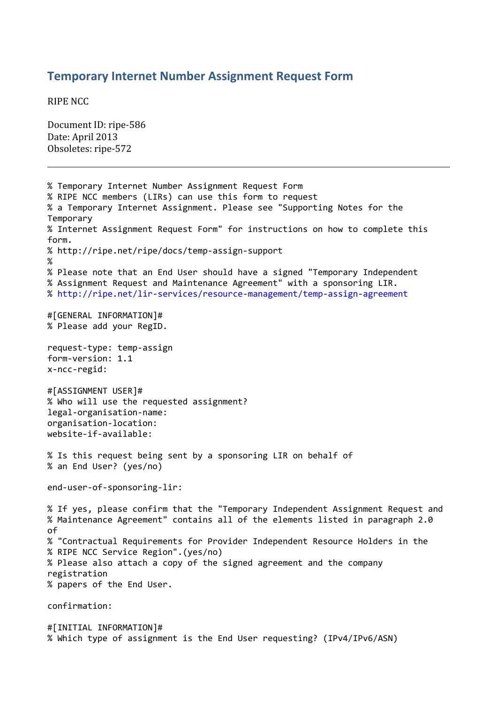## **Temporary Internet Number Assignment Request Form**

RIPE NCC

Document ID: ripe-586 Date: April 2013 Obsoletes: ripe-572

% Temporary Internet Number Assignment Request Form % RIPE NCC members (LIRs) can use this form to request % a Temporary Internet Assignment. Please see "Supporting Notes for the Temporary % Internet Assignment Request Form" for instructions on how to complete this form. % http://ripe.net/ripe/docs/temp-assign-support % % Please note that an End User should have a signed "Temporary Independent % Assignment Request and Maintenance Agreement" with a sponsoring LIR. %<http://ripe.net/lir-services/resource-management/temp-assign-agreement> #[GENERAL INFORMATION]# % Please add your RegID. request-type: temp-assign form-version: 1.1 x-ncc-regid: #[ASSIGNMENT USER]# % Who will use the requested assignment? legal-organisation-name: organisation-location: website-if-available: % Is this request being sent by a sponsoring LIR on behalf of % an End User? (yes/no) end-user-of-sponsoring-lir: % If yes, please confirm that the "Temporary Independent Assignment Request and % Maintenance Agreement" contains all of the elements listed in paragraph 2.0 of % "Contractual Requirements for Provider Independent Resource Holders in the % RIPE NCC Service Region".(yes/no) % Please also attach a copy of the signed agreement and the company registration % papers of the End User. confirmation: #[INITIAL INFORMATION]#

% Which type of assignment is the End User requesting? (IPv4/IPv6/ASN)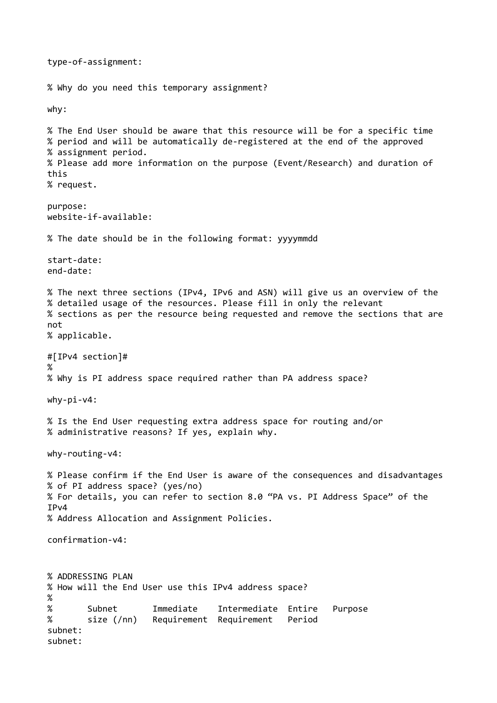type-of-assignment: % Why do you need this temporary assignment? why: % The End User should be aware that this resource will be for a specific time % period and will be automatically de-registered at the end of the approved % assignment period. % Please add more information on the purpose (Event/Research) and duration of this % request. purpose: website-if-available: % The date should be in the following format: yyyymmdd start-date: end-date: % The next three sections (IPv4, IPv6 and ASN) will give us an overview of the % detailed usage of the resources. Please fill in only the relevant % sections as per the resource being requested and remove the sections that are not % applicable. #[IPv4 section]# % % Why is PI address space required rather than PA address space? why-pi-v4: % Is the End User requesting extra address space for routing and/or % administrative reasons? If yes, explain why. why-routing-v4: % Please confirm if the End User is aware of the consequences and disadvantages % of PI address space? (yes/no) % For details, you can refer to section 8.0 "PA vs. PI Address Space" of the IPv4 % Address Allocation and Assignment Policies. confirmation-v4: % ADDRESSING PLAN % How will the End User use this IPv4 address space? % % Subnet Immediate Intermediate Entire Purpose % size (/nn) Requirement Requirement Period subnet: subnet: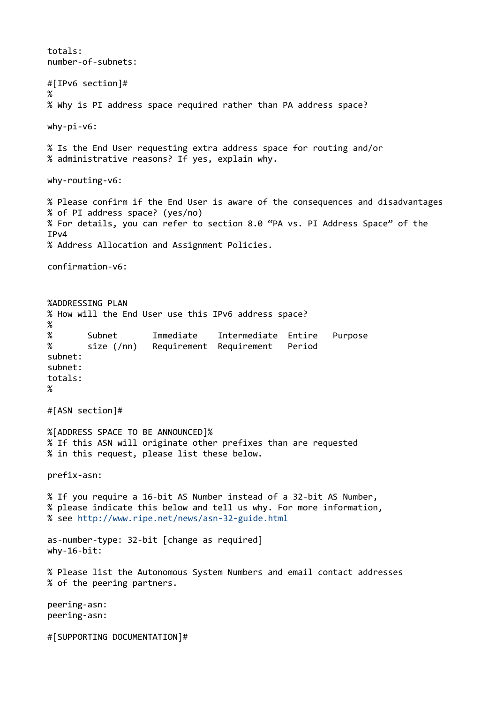totals: number-of-subnets: #[IPv6 section]# % % Why is PI address space required rather than PA address space? why-pi-v6: % Is the End User requesting extra address space for routing and/or % administrative reasons? If yes, explain why. why-routing-v6: % Please confirm if the End User is aware of the consequences and disadvantages % of PI address space? (yes/no) % For details, you can refer to section 8.0 "PA vs. PI Address Space" of the IPv4 % Address Allocation and Assignment Policies. confirmation-v6: %ADDRESSING PLAN % How will the End User use this IPv6 address space? % % Subnet Immediate Intermediate Entire Purpose % size (/nn) Requirement Requirement Period subnet: subnet: totals: % #[ASN section]# %[ADDRESS SPACE TO BE ANNOUNCED]% % If this ASN will originate other prefixes than are requested % in this request, please list these below. prefix-asn: % If you require a 16-bit AS Number instead of a 32-bit AS Number, % please indicate this below and tell us why. For more information, % see<http://www.ripe.net/news/asn-32-guide.html> as-number-type: 32-bit [change as required]  $why-16-bit:$ % Please list the Autonomous System Numbers and email contact addresses % of the peering partners. peering-asn: peering-asn: #[SUPPORTING DOCUMENTATION]#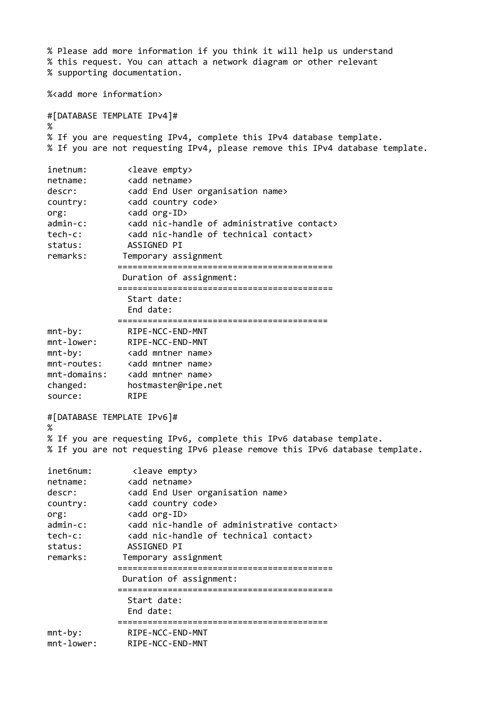% Please add more information if you think it will help us understand % this request. You can attach a network diagram or other relevant % supporting documentation. %<add more information> #[DATABASE TEMPLATE IPv4]# % % If you are requesting IPv4, complete this IPv4 database template. % If you are not requesting IPv4, please remove this IPv4 database template. inetnum: <leave empty><br>netname: <add netname> netname: <add netname> descr: <add End User organisation name> country: <add country code> org: <add org-ID> admin-c: <add nic-handle of administrative contact> tech-c: <add nic-handle of technical contact> status: ASSIGNED PI remarks: Temporary assignment =========================================== Duration of assignment: =========================================== Start date: End date: ========================================== mnt-by: RIPE-NCC-END-MNT mnt-lower: RIPE-NCC-END-MNT mnt-by: <add mntner name> mnt-routes: <add mntner name> mnt-domains: <add mntner name> changed: hostmaster@ripe.net source: RIPE #[DATABASE TEMPLATE IPv6]# % % If you are requesting IPv6, complete this IPv6 database template. % If you are not requesting IPv6 please remove this IPv6 database template. inet6num: <leave empty> netname: <add netname> descr: <add End User organisation name> country: <add country code> org: <add org-ID> admin-c: <add nic-handle of administrative contact> tech-c: <add nic-handle of technical contact> status: ASSIGNED PI remarks: Temporary assignment =========================================== Duration of assignment: =========================================== Start date: End date: ========================================== mnt-by: RIPE-NCC-END-MNT mnt-lower: RIPE-NCC-END-MNT